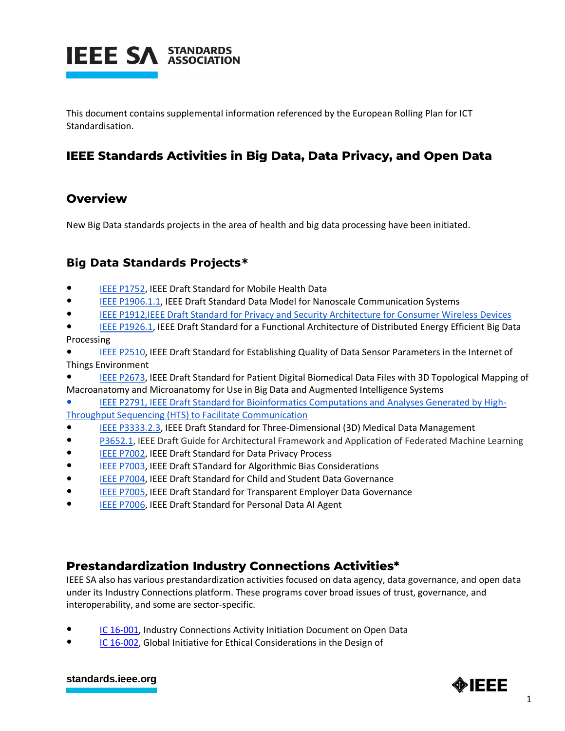

This document contains supplemental information referenced by the European Rolling Plan for ICT Standardisation.

## **IEEE Standards Activities in Big Data, Data Privacy, and Open Data**

## **Overview**

New Big Data standards projects in the area of health and big data processing have been initiated.

## **Big Data Standards Projects\***

- [IEEE P1752,](http://standards.ieee.org/develop/project/1752.html) IEEE Draft Standard for Mobile Health Data
- [IEEE P1906.1.1,](http://standards.ieee.org/develop/project/1906.1.1.html) IEEE Draft Standard Data Model for Nanoscale Communication Systems
- [IEEE P1912,IEEE Draft Standard for Privacy and Security Architecture for Consumer Wireless Devices](http://standards.ieee.org/develop/project/1912.html)
- [IEEE P1926.1,](http://standards.ieee.org/develop/project/1926.1.html) IEEE Draft Standard for a Functional Architecture of Distributed Energy Efficient Big Data Processing
- [IEEE P2510,](http://standards.ieee.org/develop/project/2510.html) IEEE Draft Standard for Establishing Quality of Data Sensor Parameters in the Internet of Things Environment
- [IEEE P2673,](http://standards.ieee.org/develop/project/2673.html) IEEE Draft Standard for Patient Digital Biomedical Data Files with 3D Topological Mapping of Macroanatomy and Microanatomy for Use in Big Data and Augmented Intelligence Systems
- [IEEE P2791, IEEE Draft Standard for Bioinformatics Computations and Analyses Generated by High-](http://standards.ieee.org/develop/project/2791.html)[Throughput Sequencing \(HTS\) to Facilitate Communication](http://standards.ieee.org/develop/project/2791.html)
- [IEEE P3333.2.3,](http://standards.ieee.org/develop/project/3333.2.3.html) IEEE Draft Standard for Three-Dimensional (3D) Medical Data Management
- [P3652.1,](https://standards.ieee.org/project/3652_1.html) IEEE Draft Guide for Architectural Framework and Application of Federated Machine Learning
- [IEEE P7002,](http://standards.ieee.org/develop/project/7002.html) IEEE Draft Standard for Data Privacy Process
- [IEEE P7003,](http://standards.ieee.org/develop/project/7003.html) IEEE Draft STandard for Algorithmic Bias Considerations
- [IEEE P7004,](http://standards.ieee.org/develop/project/7004.html) IEEE Draft Standard for Child and Student Data Governance
- [IEEE P7005,](http://standards.ieee.org/develop/project/7005.html) IEEE Draft Standard for Transparent Employer Data Governance
- [IEEE P7006,](http://standards.ieee.org/develop/project/7006.html) IEEE Draft Standard for Personal Data AI Agent

## **Prestandardization Industry Connections Activities\***

IEEE SA also has various prestandardization activities focused on data agency, data governance, and open data under its Industry Connections platform. These programs cover broad issues of trust, governance, and interoperability, and some are sector-specific.

- [IC 16-001,](http://standards.ieee.org/about/sasb/iccom/IC16-001-01_Open_Data.pdf) Industry Connections Activity Initiation Document on Open Data
- [IC 16-002,](http://standards.ieee.org/about/sasb/iccom/IC16-002-01_Global_Initiative_for_Ethical_Considerations_in_the_Design_of_Autonomous_Systems.pdf) Global Initiative for Ethical Considerations in the Design of